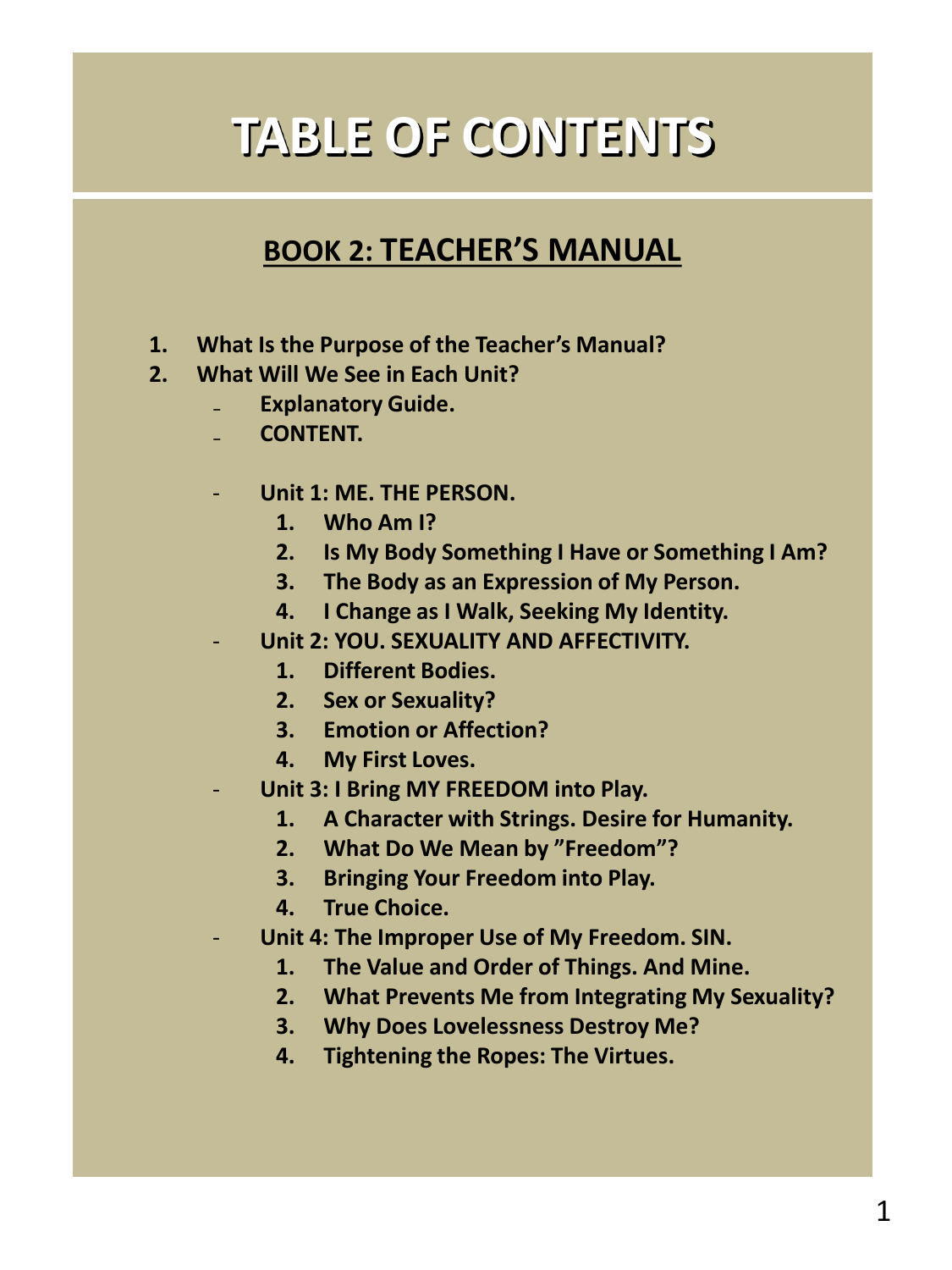# **TABLE OF CONTENTS**

# **BOOK 2: TEACHER'S MANUAL**

- **1. What Is the Purpose of the Teacher's Manual?**
- **2. What Will We See in Each Unit?**
	- ₋ **Explanatory Guide.**
		- ₋ **CONTENT.**
		- **Unit 1: ME. THE PERSON.**
			- **1. Who Am I?**
			- **2. Is My Body Something I Have or Something I Am?**
			- **3. The Body as an Expression of My Person.**
			- **4. I Change as I Walk, Seeking My Identity.**
		- **Unit 2: YOU. SEXUALITY AND AFFECTIVITY.**
			- **1. Different Bodies.**
			- **2. Sex or Sexuality?**
			- **3. Emotion or Affection?**
			- **4. My First Loves.**
		- **Unit 3: I Bring MY FREEDOM into Play.**
			- **1. A Character with Strings. Desire for Humanity.**
			- **2. What Do We Mean by "Freedom"?**
			- **3. Bringing Your Freedom into Play.**
			- **4. True Choice.**
		- **Unit 4: The Improper Use of My Freedom. SIN.**
			- **1. The Value and Order of Things. And Mine.**
			- **2. What Prevents Me from Integrating My Sexuality?**
			- **3. Why Does Lovelessness Destroy Me?**
			- **4. Tightening the Ropes: The Virtues.**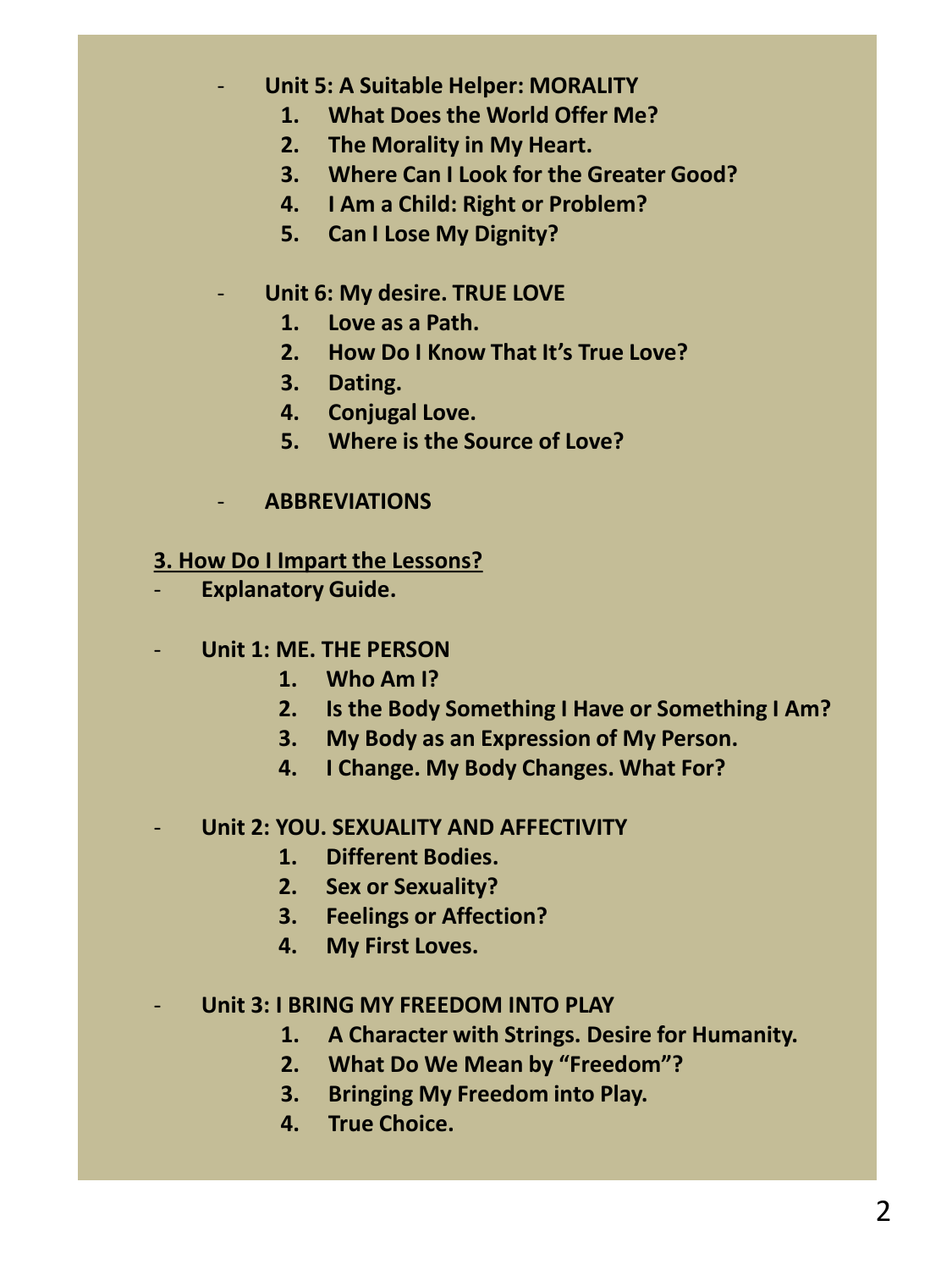- **Unit 5: A Suitable Helper: MORALITY**
	- **1. What Does the World Offer Me?**
	- **2. The Morality in My Heart.**
	- **3. Where Can I Look for the Greater Good?**
	- **4. I Am a Child: Right or Problem?**
	- **5. Can I Lose My Dignity?**
- **Unit 6: My desire. TRUE LOVE** 
	- **1. Love as a Path.**
	- **2. How Do I Know That It's True Love?**
	- **3. Dating.**
	- **4. Conjugal Love.**
	- **5. Where is the Source of Love?**
- **ABBREVIATIONS**

#### **3. How Do I Impart the Lessons?**

- **Explanatory Guide.**

#### - **Unit 1: ME. THE PERSON**

- **1. Who Am I?**
- **2. Is the Body Something I Have or Something I Am?**
- **3. My Body as an Expression of My Person.**
- **4. I Change. My Body Changes. What For?**

#### - **Unit 2: YOU. SEXUALITY AND AFFECTIVITY**

- **1. Different Bodies.**
- **2. Sex or Sexuality?**
- **3. Feelings or Affection?**
- **4. My First Loves.**

#### - **Unit 3: I BRING MY FREEDOM INTO PLAY**

- **1. A Character with Strings. Desire for Humanity.**
- **2. What Do We Mean by "Freedom"?**
- **3. Bringing My Freedom into Play.**
- **4. True Choice.**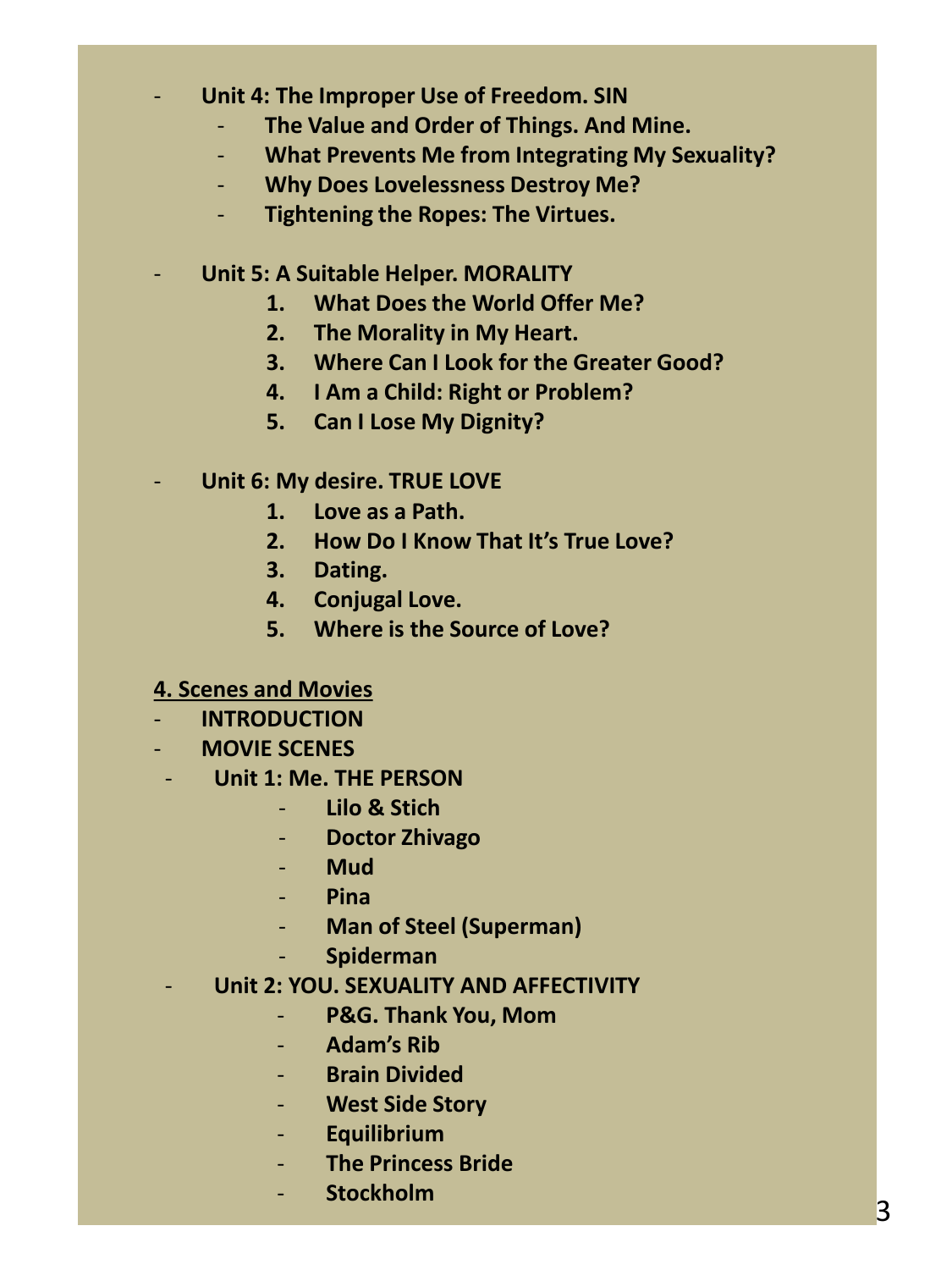## - **Unit 4: The Improper Use of Freedom. SIN**

- **The Value and Order of Things. And Mine.**
- **What Prevents Me from Integrating My Sexuality?**
- **Why Does Lovelessness Destroy Me?**
- **Tightening the Ropes: The Virtues.**
- **Unit 5: A Suitable Helper. MORALITY**
	- **1. What Does the World Offer Me?**
	- **2. The Morality in My Heart.**
	- **3. Where Can I Look for the Greater Good?**
	- **4. I Am a Child: Right or Problem?**
	- **5. Can I Lose My Dignity?**
	- **Unit 6: My desire. TRUE LOVE** 
		- **1. Love as a Path.**
		- **2. How Do I Know That It's True Love?**
		- **3. Dating.**
		- **4. Conjugal Love.**
		- **5. Where is the Source of Love?**

## **4. Scenes and Movies**

- **INTRODUCTION**
- **MOVIE SCENES**
- **Unit 1: Me. THE PERSON**
	- **Lilo & Stich**
	- **Doctor Zhivago**
	- **Mud**
	- **Pina**
	- **Man of Steel (Superman)**
	- **Spiderman**
	- **Unit 2: YOU. SEXUALITY AND AFFECTIVITY**
		- **P&G. Thank You, Mom**
		- **Adam's Rib**
		- **Brain Divided**
		- **West Side Story**
		- **Equilibrium**
		- **The Princess Bride**
		- **Stockholm**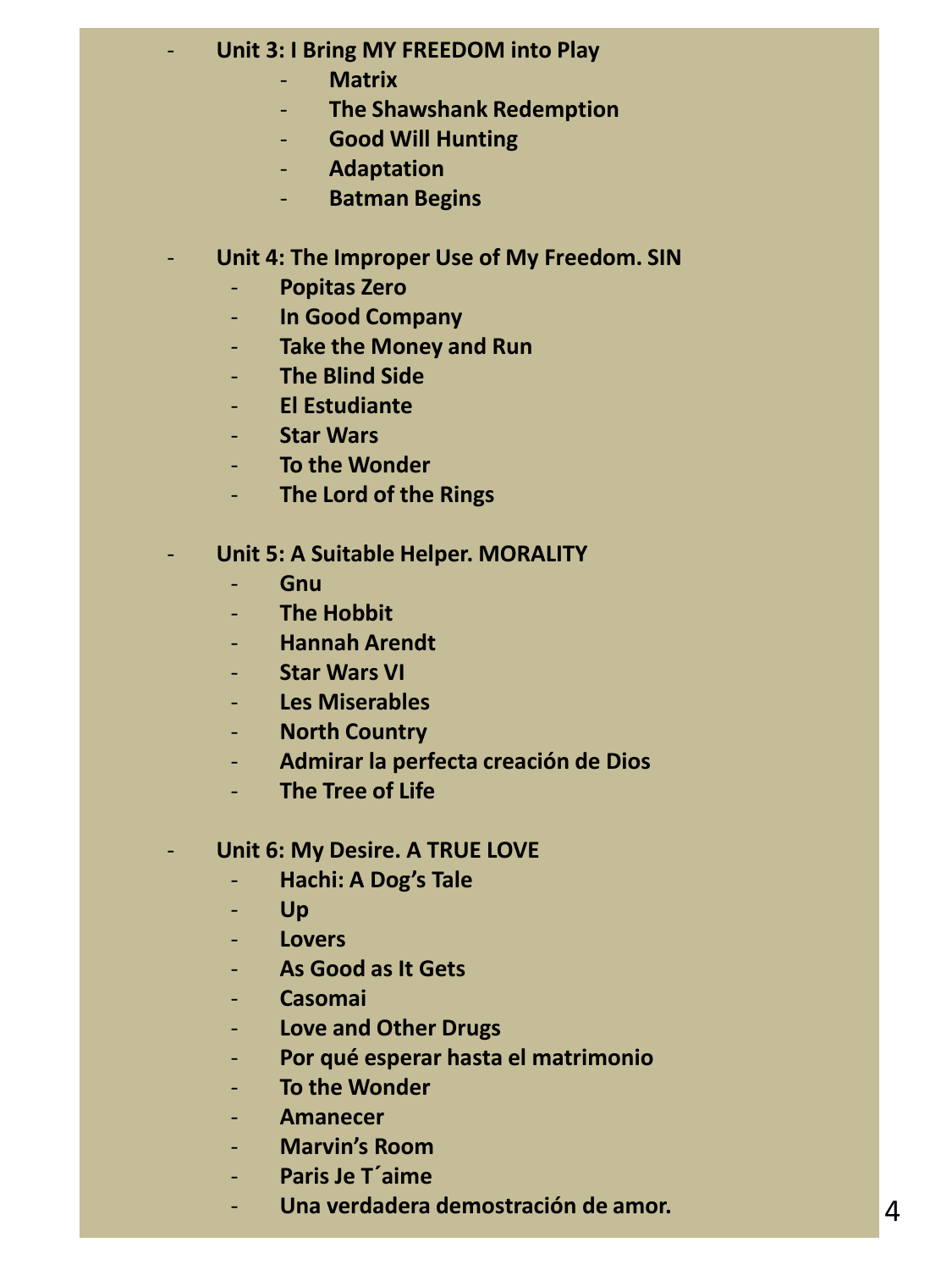# - **Unit 3: I Bring MY FREEDOM into Play**

- **Matrix**
- **The Shawshank Redemption**
- **Good Will Hunting**
- **Adaptation**
- **Batman Begins**

## Unit 4: The Improper Use of My Freedom. SIN

- **Popitas Zero**
- **In Good Company**
- **Take the Money and Run**
- **The Blind Side**
- **El Estudiante**
- **Star Wars**
- **To the Wonder**
- **The Lord of the Rings**

#### - **Unit 5: A Suitable Helper. MORALITY**

- **Gnu**
- **The Hobbit**
- **Hannah Arendt**
- **Star Wars VI**
- **Les Miserables**
- **North Country**
- **Admirar la perfecta creación de Dios**
- **The Tree of Life**

## **Unit 6: My Desire. A TRUE LOVE**

- **Hachi: A Dog's Tale**
- **Up**
- **Lovers**
- **As Good as It Gets**
- **Casomai**
- **Love and Other Drugs**
- **Por qué esperar hasta el matrimonio**
- **To the Wonder**
- **Amanecer**
- **Marvin's Room**
- **Paris Je T´aime**
- **Una verdadera demostración de amor.**